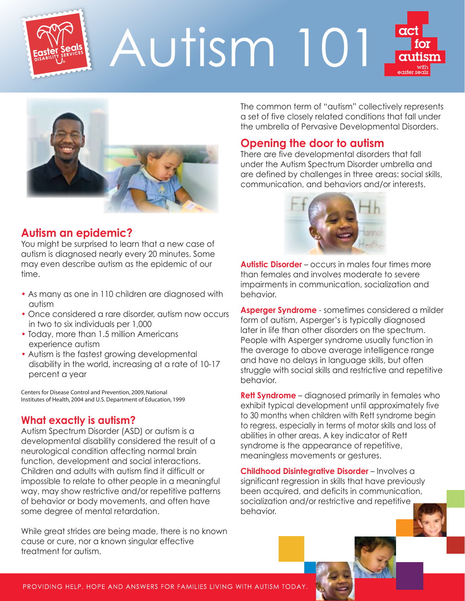

# Autism 101





# **Autism an epidemic?**

You might be surprised to learn that a new case of autism is diagnosed nearly every 20 minutes. Some may even describe autism as the epidemic of our time.

- As many as one in 110 children are diagnosed with autism
- Once considered a rare disorder, autism now occurs in two to six individuals per 1,000
- Today, more than 1.5 million Americans experience autism
- Autism is the fastest growing developmental disability in the world, increasing at a rate of 10-17 percent a year

Centers for Disease Control and Prevention, 2009, National Institutes of Health, 2004 and U.S. Department of Education, 1999

#### **What exactly is autism?**

Autism Spectrum Disorder (ASD) or autism is a developmental disability considered the result of a neurological condition affecting normal brain function, development and social interactions. Children and adults with autism find it difficult or impossible to relate to other people in a meaningful way, may show restrictive and/or repetitive patterns of behavior or body movements, and often have some degree of mental retardation.

While great strides are being made, there is no known cause or cure, nor a known singular effective treatment for autism.

The common term of "autism" collectively represents a set of five closely related conditions that fall under the umbrella of Pervasive Developmental Disorders.

# **Opening the door to autism**

There are five developmental disorders that fall under the Autism Spectrum Disorder umbrella and are defined by challenges in three areas: social skills, communication, and behaviors and/or interests.



**Autistic Disorder** – occurs in males four times more than females and involves moderate to severe impairments in communication, socialization and behavior.

**Asperger Syndrome** - sometimes considered a milder form of autism, Asperger's is typically diagnosed later in life than other disorders on the spectrum. People with Asperger syndrome usually function in the average to above average intelligence range and have no delays in language skills, but often struggle with social skills and restrictive and repetitive behavior.

**Rett Syndrome** – diagnosed primarily in females who exhibit typical development until approximately five to 30 months when children with Rett syndrome begin to regress, especially in terms of motor skills and loss of abilities in other areas. A key indicator of Rett syndrome is the appearance of repetitive, meaningless movements or gestures.

**Childhood Disintegrative Disorder** – Involves a significant regression in skills that have previously been acquired, and deficits in communication, socialization and/or restrictive and repetitive behavior.

PROVIDING HELP, HOPE AND ANSWERS FOR FAMILIES LIVING WITH AUTISM TODAY.